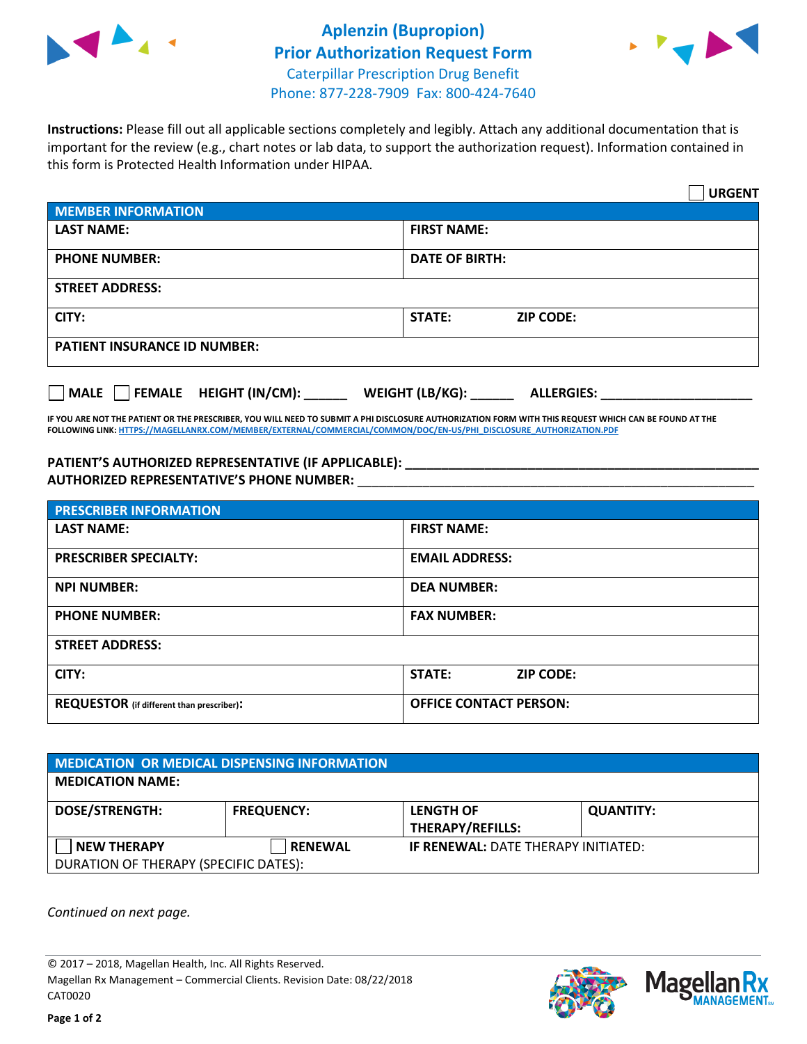



**Instructions:** Please fill out all applicable sections completely and legibly. Attach any additional documentation that is important for the review (e.g., chart notes or lab data, to support the authorization request). Information contained in this form is Protected Health Information under HIPAA.

|                                       | <b>URGENT</b>                          |  |  |  |
|---------------------------------------|----------------------------------------|--|--|--|
| <b>MEMBER INFORMATION</b>             |                                        |  |  |  |
| <b>LAST NAME:</b>                     | <b>FIRST NAME:</b>                     |  |  |  |
| <b>PHONE NUMBER:</b>                  | <b>DATE OF BIRTH:</b>                  |  |  |  |
| <b>STREET ADDRESS:</b>                |                                        |  |  |  |
| CITY:                                 | <b>ZIP CODE:</b><br>STATE:             |  |  |  |
| <b>PATIENT INSURANCE ID NUMBER:</b>   |                                        |  |  |  |
| FEMALE HEIGHT (IN/CM):<br><b>MALE</b> | WEIGHT (LB/KG): _<br><b>ALLERGIES:</b> |  |  |  |

**IF YOU ARE NOT THE PATIENT OR THE PRESCRIBER, YOU WILL NEED TO SUBMIT A PHI DISCLOSURE AUTHORIZATION FORM WITH THIS REQUEST WHICH CAN BE FOUND AT THE FOLLOWING LINK[: HTTPS://MAGELLANRX.COM/MEMBER/EXTERNAL/COMMERCIAL/COMMON/DOC/EN-US/PHI\\_DISCLOSURE\\_AUTHORIZATION.PDF](https://magellanrx.com/member/external/commercial/common/doc/en-us/PHI_Disclosure_Authorization.pdf)**

**PATIENT'S AUTHORIZED REPRESENTATIVE (IF APPLICABLE): \_\_\_\_\_\_\_\_\_\_\_\_\_\_\_\_\_\_\_\_\_\_\_\_\_\_\_\_\_\_\_\_\_\_\_\_\_\_\_\_\_\_\_\_\_\_\_\_\_ AUTHORIZED REPRESENTATIVE'S PHONE NUMBER:** \_\_\_\_\_\_\_\_\_\_\_\_\_\_\_\_\_\_\_\_\_\_\_\_\_\_\_\_\_\_\_\_\_\_\_\_\_\_\_\_\_\_\_\_\_\_\_\_\_\_\_\_\_\_\_

| <b>PRESCRIBER INFORMATION</b>             |                               |  |  |  |
|-------------------------------------------|-------------------------------|--|--|--|
| <b>LAST NAME:</b>                         | <b>FIRST NAME:</b>            |  |  |  |
| <b>PRESCRIBER SPECIALTY:</b>              | <b>EMAIL ADDRESS:</b>         |  |  |  |
| <b>NPI NUMBER:</b>                        | <b>DEA NUMBER:</b>            |  |  |  |
| <b>PHONE NUMBER:</b>                      | <b>FAX NUMBER:</b>            |  |  |  |
| <b>STREET ADDRESS:</b>                    |                               |  |  |  |
| CITY:                                     | STATE:<br><b>ZIP CODE:</b>    |  |  |  |
| REQUESTOR (if different than prescriber): | <b>OFFICE CONTACT PERSON:</b> |  |  |  |

| <b>MEDICATION OR MEDICAL DISPENSING INFORMATION</b> |                   |                                            |                  |  |  |
|-----------------------------------------------------|-------------------|--------------------------------------------|------------------|--|--|
| <b>MEDICATION NAME:</b>                             |                   |                                            |                  |  |  |
| <b>DOSE/STRENGTH:</b>                               | <b>FREQUENCY:</b> | <b>LENGTH OF</b>                           | <b>QUANTITY:</b> |  |  |
|                                                     |                   | <b>THERAPY/REFILLS:</b>                    |                  |  |  |
| <b>NEW THERAPY</b>                                  | <b>RENEWAL</b>    | <b>IF RENEWAL: DATE THERAPY INITIATED:</b> |                  |  |  |
| DURATION OF THERAPY (SPECIFIC DATES):               |                   |                                            |                  |  |  |

*Continued on next page.*

© 2017 – 2018, Magellan Health, Inc. All Rights Reserved. Magellan Rx Management – Commercial Clients. Revision Date: 08/22/2018 CAT0020